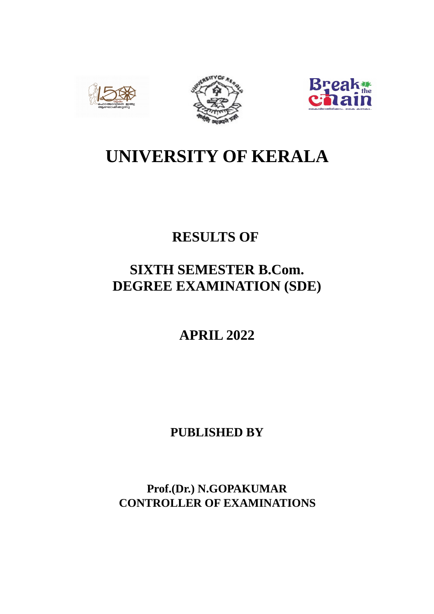





# **UNIVERSITY OF KERALA**

# **RESULTS OF**

# **SIXTH SEMESTER B.Com. DEGREE EXAMINATION (SDE)**

**APRIL 2022**

**PUBLISHED BY**

**Prof.(Dr.) N.GOPAKUMAR CONTROLLER OF EXAMINATIONS**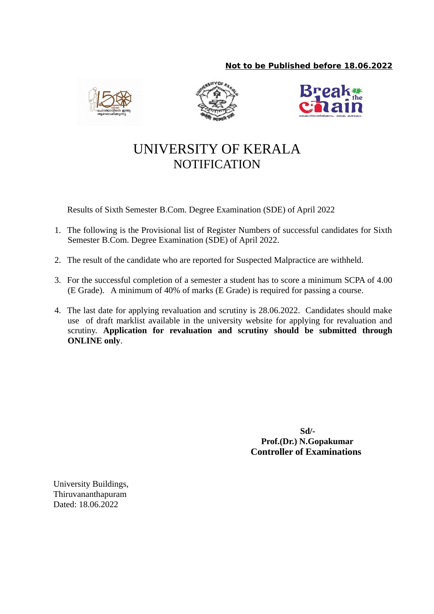# **Not to be Published before 18.06.2022**







# UNIVERSITY OF KERALA **NOTIFICATION**

Results of Sixth Semester B.Com. Degree Examination (SDE) of April 2022

- 1. The following is the Provisional list of Register Numbers of successful candidates for Sixth Semester B.Com. Degree Examination (SDE) of April 2022.
- 2. The result of the candidate who are reported for Suspected Malpractice are withheld.
- 3. For the successful completion of a semester a student has to score a minimum SCPA of 4.00 (E Grade). A minimum of 40% of marks (E Grade) is required for passing a course.
- 4. The last date for applying revaluation and scrutiny is 28.06.2022. Candidates should make use of draft marklist available in the university website for applying for revaluation and scrutiny. **Application for revaluation and scrutiny should be submitted through ONLINE only**.

 **Sd/- Prof.(Dr.) N.Gopakumar Controller of Examinations**

University Buildings, Thiruvananthapuram Dated: 18.06.2022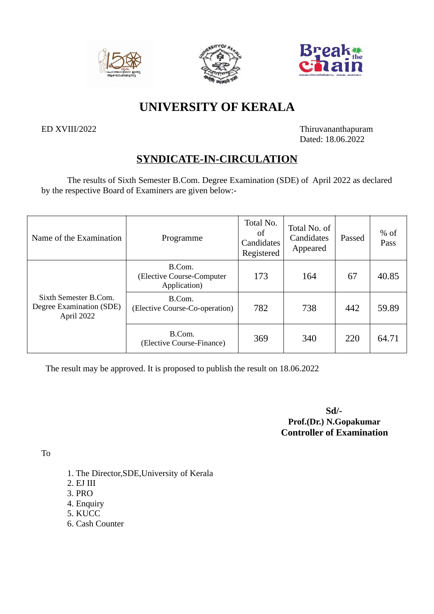





# **UNIVERSITY OF KERALA**

ED XVIII/2022 Thiruvananthapuram Dated: 18.06.2022

# **SYNDICATE-IN-CIRCULATION**

The results of Sixth Semester B.Com. Degree Examination (SDE) of April 2022 as declared by the respective Board of Examiners are given below:-

| Name of the Examination                                         | Programme                                           | Total No.<br>of<br>Candidates<br>Registered | Total No. of<br>Candidates<br>Appeared | Passed | $%$ of<br>Pass |
|-----------------------------------------------------------------|-----------------------------------------------------|---------------------------------------------|----------------------------------------|--------|----------------|
|                                                                 | B.Com.<br>(Elective Course-Computer<br>Application) | 173                                         | 164                                    | 67     | 40.85          |
| Sixth Semester B.Com.<br>Degree Examination (SDE)<br>April 2022 | B.Com.<br>(Elective Course-Co-operation)            | 782                                         | 738                                    | 442    | 59.89          |
|                                                                 | B.Com.<br>(Elective Course-Finance)                 | 369                                         | 340                                    | 220    | 64.71          |

The result may be approved. It is proposed to publish the result on 18.06.2022

 **Sd/- Prof.(Dr.) N.Gopakumar Controller of Examination**

To

- 1. The Director,SDE,University of Kerala
- 2. EJ III
- 3. PRO
- 4. Enquiry
- 5. KUCC
- 6. Cash Counter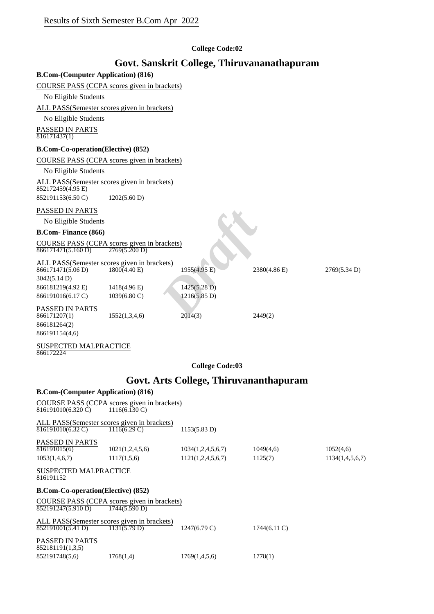#### **College Code:02**

# **Govt. Sanskrit College, Thiruvananathapuram**

**B.Com-(Computer Application) (816)**

#### COURSE PASS (CCPA scores given in brackets)

No Eligible Students

ALL PASS(Semester scores given in brackets)

No Eligible Students

PASSED IN PARTS

 $816171437(1)$ 

#### **B.Com-Co-operation(Elective) (852)**

COURSE PASS (CCPA scores given in brackets)

No Eligible Students

ALL PASS(Semester scores given in brackets)  $852172459(4.95 E)$ 

852191153(6.50 C) 1202(5.60 D)

#### PASSED IN PARTS

#### **B.Com- Finance (866)**

| PASSED IN PARTS                             |                                                              |              |              |              |
|---------------------------------------------|--------------------------------------------------------------|--------------|--------------|--------------|
| No Eligible Students                        |                                                              |              |              |              |
| <b>B.Com-Finance (866)</b>                  |                                                              |              |              |              |
| 866171471(5.160 D)                          | COURSE PASS (CCPA scores given in brackets)<br>2769(5.200 D) |              |              |              |
| ALL PASS(Semester scores given in brackets) |                                                              |              |              |              |
| 866171471(5.06 D)                           | 1800(4.40 E)                                                 | 1955(4.95 E) | 2380(4.86 E) | 2769(5.34 D) |
| 3042(5.14 D)                                |                                                              |              |              |              |
| 866181219(4.92 E)                           | 1418(4.96 E)                                                 | 1425(5.28 D) |              |              |
| 866191016(6.17 C)                           | $1039(6.80 \text{ C})$                                       | 1216(5.85 D) |              |              |
| PASSED IN PARTS                             |                                                              |              |              |              |
| 866171207(1)                                | 1552(1,3,4,6)                                                | 2014(3)      | 2449(2)      |              |
| 866181264(2)                                |                                                              |              |              |              |
| 866191154(4,6)                              |                                                              |              |              |              |

#### SUSPECTED MALPRACTICE 866172224

**College Code:03**

# **Govt. Arts College, Thiruvananthapuram**

| <b>B.Com-(Computer Application) (816)</b>  |                                                                 |                        |                 |                 |
|--------------------------------------------|-----------------------------------------------------------------|------------------------|-----------------|-----------------|
| 816191010(6.320 C)                         | COURSE PASS (CCPA scores given in brackets)<br>$1116(6.130)$ C) |                        |                 |                 |
|                                            | ALL PASS(Semester scores given in brackets)                     |                        |                 |                 |
| 816191010(6.32 C)                          | $1116(6.29 \text{ C})$                                          | 1153(5.83 D)           |                 |                 |
| <b>PASSED IN PARTS</b>                     |                                                                 |                        |                 |                 |
| 816191015(6)                               | 1021(1,2,4,5,6)                                                 | 1034(1,2,4,5,6,7)      | 1049(4,6)       | 1052(4,6)       |
| 1053(1,4,6,7)                              | 1117(1,5,6)                                                     | 1121(1,2,4,5,6,7)      | 1125(7)         | 1134(1,4,5,6,7) |
| <b>SUSPECTED MALPRACTICE</b><br>816191152  |                                                                 |                        |                 |                 |
| <b>B.Com-Co-operation(Elective) (852)</b>  |                                                                 |                        |                 |                 |
| 852191247(5.910 D)                         | COURSE PASS (CCPA scores given in brackets)<br>1744(5.590 D)    |                        |                 |                 |
| 852191001(5.41 D)                          | ALL PASS(Semester scores given in brackets)<br>1131(5.79 D)     | $1247(6.79 \text{ C})$ | $1744(6.11)$ C) |                 |
| <b>PASSED IN PARTS</b><br>852181191(1,3,5) |                                                                 |                        |                 |                 |
| 852191748(5,6)                             | 1768(1,4)                                                       | 1769(1,4,5,6)          | 1778(1)         |                 |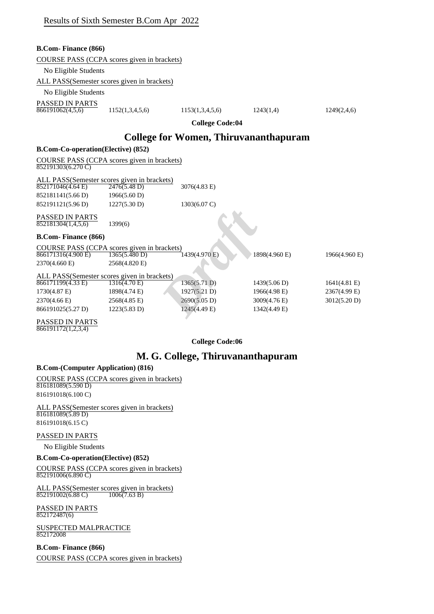| <b>B.Com-Finance (866)</b>                |                                              |                                              |               |               |
|-------------------------------------------|----------------------------------------------|----------------------------------------------|---------------|---------------|
|                                           | COURSE PASS (CCPA scores given in brackets)  |                                              |               |               |
| No Eligible Students                      |                                              |                                              |               |               |
|                                           | ALL PASS(Semester scores given in brackets)  |                                              |               |               |
| No Eligible Students                      |                                              |                                              |               |               |
| PASSED IN PARTS                           |                                              |                                              |               |               |
| 866191062(4,5,6)                          | 1152(1,3,4,5,6)                              | 1153(1,3,4,5,6)                              | 1243(1,4)     | 1249(2,4,6)   |
|                                           |                                              | <b>College Code:04</b>                       |               |               |
|                                           |                                              | <b>College for Women, Thiruvananthapuram</b> |               |               |
| <b>B.Com-Co-operation(Elective) (852)</b> |                                              |                                              |               |               |
|                                           | COURSE PASS (CCPA scores given in brackets)  |                                              |               |               |
| $852191303(6.270 \text{ C})$              |                                              |                                              |               |               |
|                                           | ALL PASS (Semester scores given in brackets) |                                              |               |               |
| 852171046(4.64)                           | 2476(5.48 D)                                 | 3076(4.83 E)                                 |               |               |
| 852181141(5.66 D)                         | 1966(5.60 D)                                 |                                              |               |               |
| 852191121(5.96 D)                         | 1227(5.30 D)                                 | $1303(6.07 \text{ C})$                       |               |               |
| <b>PASSED IN PARTS</b>                    |                                              |                                              |               |               |
| 852181304(1,4,5,6)                        | 1399(6)                                      |                                              |               |               |
| <b>B.Com-Finance (866)</b>                |                                              |                                              |               |               |
|                                           | COURSE PASS (CCPA scores given in brackets)  |                                              |               |               |
| 866171316(4.900 E)                        | 1365(5.480 D)                                | $1439(4.970)$ E)                             | 1898(4.960 E) | 1966(4.960 E) |
| 2370(4.660 E)                             | 2568(4.820 E)                                |                                              |               |               |
|                                           | ALL PASS(Semester scores given in brackets)  |                                              |               |               |
| 866171199(4.33 E)                         | $1316(4.70 \text{ E})$                       | 1365(5.71 D)                                 | 1439(5.06 D)  | 1641(4.81 E)  |
| 1730(4.87 E)                              | 1898(4.74 E)                                 | $1927(5.21 \text{ D})$                       | 1966(4.98 E)  | 2367(4.99 E)  |
| 2370(4.66 E)                              | 2568(4.85 E)                                 | 2690(5.05 D)                                 | 3009(4.76 E)  | 3012(5.20 D)  |
| 866191025(5.27 D)                         | 1223(5.83 D)                                 | $1245(4.49)$ E)                              | 1342(4.49 E)  |               |
| PASSED IN PARTS<br>866101172(1234)        |                                              |                                              |               |               |

866191172(1,2,3,4)

**College Code:06**

# **M. G. College, Thiruvananthapuram**

#### **B.Com-(Computer Application) (816)**

#### COURSE PASS (CCPA scores given in brackets) 816181089(5.590 D)

816191018(6.100 C)

ALL PASS(Semester scores given in brackets) 816181089(5.89 D) 816191018(6.15 C)

#### PASSED IN PARTS

No Eligible Students

#### **B.Com-Co-operation(Elective) (852)**

COURSE PASS (CCPA scores given in brackets) 852191006(6.890 C)

ALL PASS(Semester scores given in brackets) 852191002(6.88 C) 1006(7.63 B)

PASSED IN PARTS 852172487(6)

SUSPECTED MALPRACTICE 852172008

#### **B.Com- Finance (866)**

COURSE PASS (CCPA scores given in brackets)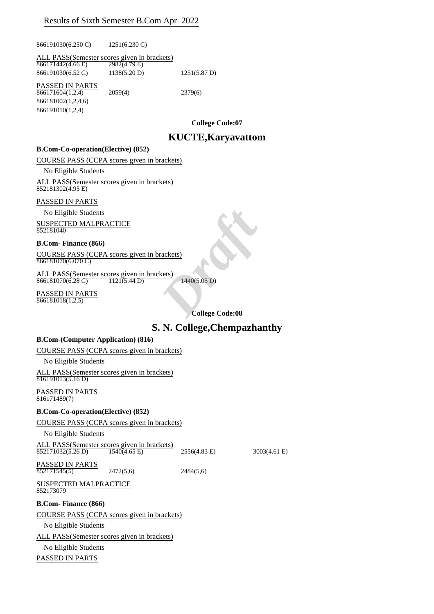866191030(6.250 C) 1251(6.230 C)

ALL PASS(Semester scores given in brackets)<br> $\frac{866171442(4.66 E)}{2982(4.79 E)}$  $866171442(4.66 \text{ E})$ 

866191030(6.52 C) 1138(5.20 D) 1251(5.87 D)

PASSED IN PARTS  $\frac{1188888}{866171604(1,2,4)}$  2059(4) 2379(6)

866181002(1,2,4,6) 866191010(1,2,4)

**College Code:07**

# **KUCTE,Karyavattom**

#### **B.Com-Co-operation(Elective) (852)**

COURSE PASS (CCPA scores given in brackets)

No Eligible Students

ALL PASS(Semester scores given in brackets)  $852181302(4.95)$ 

#### PASSED IN PARTS

No Eligible Students

SUSPECTED MALPRACTICE 852181040

#### **B.Com- Finance (866)**

COURSE PASS (CCPA scores given in brackets)  $866181070(6.070 \text{ C})$ 

ALL PASS(Semester scores given in brackets) 866181070(6.28 C) 1121(5.44 D) 1440(5.05 D)

PASSED IN PARTS 866181018(1,2,5)

**College Code:08**

## **S. N. College,Chempazhanthy**

#### **B.Com-(Computer Application) (816)**

COURSE PASS (CCPA scores given in brackets)

No Eligible Students

ALL PASS(Semester scores given in brackets) 816191013(5.16 D)

PASSED IN PARTS 816171489(7)

#### **B.Com-Co-operation(Elective) (852)**

COURSE PASS (CCPA scores given in brackets)

No Eligible Students

ALL PASS(Semester scores given in brackets) 852171032(5.26 D) 1540(4.65 E) 2556(4.83 E) 3003(4.61 E)

PASSED IN PARTS

852171545(5) 2472(5,6) 2484(5,6)

SUSPECTED MALPRACTICE 852173079

**B.Com- Finance (866)**

COURSE PASS (CCPA scores given in brackets)

No Eligible Students

ALL PASS(Semester scores given in brackets)

No Eligible Students

PASSED IN PARTS

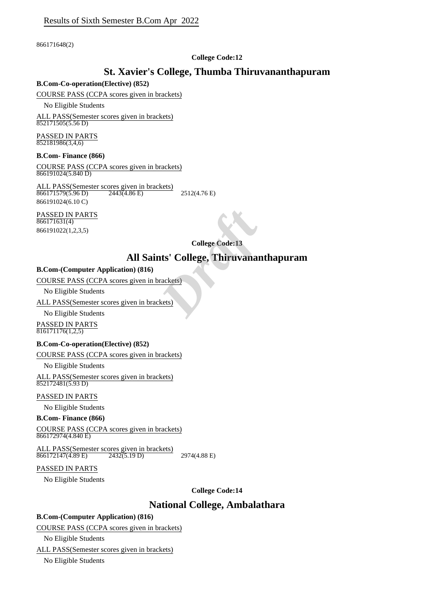866171648(2)

#### **College Code:12**

# **St. Xavier's College, Thumba Thiruvananthapuram**

#### **B.Com-Co-operation(Elective) (852)**

#### COURSE PASS (CCPA scores given in brackets)

No Eligible Students

ALL PASS(Semester scores given in brackets)  $\frac{1251111505(5.56 \text{ D})}{852171505(5.56 \text{ D})}$ 

PASSED IN PARTS 852181986(3,4,6)

#### **B.Com- Finance (866)**

COURSE PASS (CCPA scores given in brackets) 866191024(5.840 D)

ALL PASS(Semester scores given in brackets) 866171579(5.96 D) 2443(4.86 E) 2512(4.76 E) 866191024(6.10 C)

PASSED IN PARTS 866171631(4) 866191022(1,2,3,5)

**College Code:13**

# **All Saints' College, Thiruvananthapuram College Code:13**<br> **nts' College, Thiruvanan**<br>
<u>Prackets</u>

#### **B.Com-(Computer Application) (816)**

COURSE PASS (CCPA scores given in brackets)

No Eligible Students

ALL PASS(Semester scores given in brackets)

No Eligible Students

PASSED IN PARTS  $816171176(1,2,5)$ 

#### **B.Com-Co-operation(Elective) (852)**

COURSE PASS (CCPA scores given in brackets)

No Eligible Students

ALL PASS(Semester scores given in brackets) 852172481(5.93 D)

#### PASSED IN PARTS

No Eligible Students

#### **B.Com- Finance (866)**

COURSE PASS (CCPA scores given in brackets)  $866172974(4.840 \text{ E})$ 

ALL PASS(Semester scores given in brackets)<br>866172147(4.89 E) 2432(5.19 D) 866172147(4.89 E) 2432(5.19 D) 2974(4.88 E)

#### PASSED IN PARTS

No Eligible Students

**College Code:14**

## **National College, Ambalathara**

#### **B.Com-(Computer Application) (816)**

COURSE PASS (CCPA scores given in brackets)

No Eligible Students

ALL PASS(Semester scores given in brackets)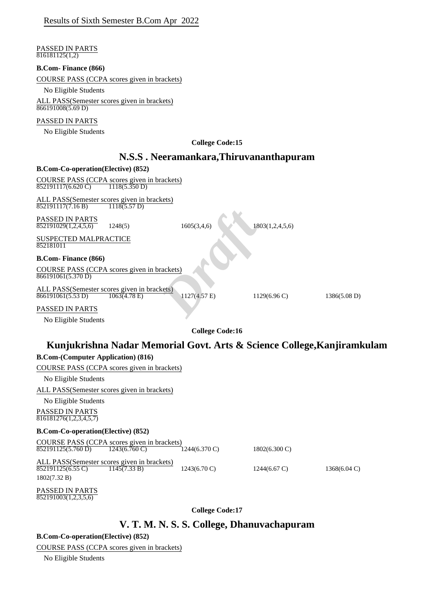|                                                      | Results of Sixth Semester B.Com Apr 2022                                         |                        |                        |                         |                                                                         |
|------------------------------------------------------|----------------------------------------------------------------------------------|------------------------|------------------------|-------------------------|-------------------------------------------------------------------------|
| PASSED IN PARTS<br>816181125(1,2)                    |                                                                                  |                        |                        |                         |                                                                         |
| <b>B.Com-Finance (866)</b>                           |                                                                                  |                        |                        |                         |                                                                         |
|                                                      | COURSE PASS (CCPA scores given in brackets)                                      |                        |                        |                         |                                                                         |
| No Eligible Students                                 |                                                                                  |                        |                        |                         |                                                                         |
| 866191008(5.69 D)                                    | ALL PASS(Semester scores given in brackets)                                      |                        |                        |                         |                                                                         |
| PASSED IN PARTS                                      |                                                                                  |                        |                        |                         |                                                                         |
| No Eligible Students                                 |                                                                                  |                        |                        |                         |                                                                         |
|                                                      |                                                                                  |                        | <b>College Code:15</b> |                         |                                                                         |
|                                                      | N.S.S. Neeramankara, Thiruvananthapuram                                          |                        |                        |                         |                                                                         |
| <b>B.Com-Co-operation</b> (Elective) (852)           |                                                                                  |                        |                        |                         |                                                                         |
| $\overline{852191117(6.620 \text{ C})}$              | COURSE PASS (CCPA scores given in brackets)<br>1118(5.350 D)                     |                        |                        |                         |                                                                         |
| 852191117(7.16 B)                                    | ALL PASS(Semester scores given in brackets)<br>$\overline{1118(5.57 \text{ D})}$ |                        |                        |                         |                                                                         |
| PASSED IN PARTS<br>$\overline{852191029(1,2,4,5,6)}$ | 1248(5)                                                                          | 1605(3,4,6)            |                        | 1803(1,2,4,5,6)         |                                                                         |
| <b>SUSPECTED MALPRACTICE</b><br>852181011            |                                                                                  |                        |                        |                         |                                                                         |
| <b>B.Com-Finance (866)</b>                           |                                                                                  |                        |                        |                         |                                                                         |
| 866191061(5.370 D)                                   | COURSE PASS (CCPA scores given in brackets)                                      |                        |                        |                         |                                                                         |
| 866191061(5.53 D)                                    | ALL PASS(Semester scores given in brackets)<br>$\overline{1063(4.78 \text{ E})}$ | $1127(4.57)$ E)        |                        | $1129(6.96 \text{ C})$  | 1386(5.08 D)                                                            |
| PASSED IN PARTS                                      |                                                                                  |                        |                        |                         |                                                                         |
| No Eligible Students                                 |                                                                                  |                        |                        |                         |                                                                         |
|                                                      |                                                                                  |                        | <b>College Code:16</b> |                         |                                                                         |
|                                                      |                                                                                  |                        |                        |                         | Kunjukrishna Nadar Memorial Govt. Arts & Science College, Kanjiramkulam |
| <b>B.Com-(Computer Application) (816)</b>            |                                                                                  |                        |                        |                         |                                                                         |
|                                                      | COURSE PASS (CCPA scores given in brackets)                                      |                        |                        |                         |                                                                         |
| No Eligible Students                                 |                                                                                  |                        |                        |                         |                                                                         |
|                                                      | ALL PASS(Semester scores given in brackets)                                      |                        |                        |                         |                                                                         |
| No Eligible Students                                 |                                                                                  |                        |                        |                         |                                                                         |
| PASSED IN PARTS<br>816181276(1,2,3,4,5,7)            |                                                                                  |                        |                        |                         |                                                                         |
| <b>B.Com-Co-operation(Elective) (852)</b>            |                                                                                  |                        |                        |                         |                                                                         |
| $\overline{852191125(5.760 \text{ D})}$              | COURSE PASS (CCPA scores given in brackets)<br>$1243(6.760 \text{ C})$           | 1244(6.370 C)          |                        | $1802(6.300 \text{ C})$ |                                                                         |
| 852191125(6.55 C)<br>1802(7.32 B)                    | ALL PASS(Semester scores given in brackets)<br>1145(7.33 B)                      | $1243(6.70 \text{ C})$ |                        | $1244(6.67 \text{ C})$  | $1368(6.04 \text{ C})$                                                  |
| PASSED IN PARTS<br>852191003(1,2,3,5,6)              |                                                                                  |                        |                        |                         |                                                                         |
|                                                      |                                                                                  |                        | <b>College Code:17</b> |                         |                                                                         |
|                                                      | V. T. M. N. S. S. College, Dhanuvachapuram                                       |                        |                        |                         |                                                                         |

**B.Com-Co-operation(Elective) (852)**

COURSE PASS (CCPA scores given in brackets)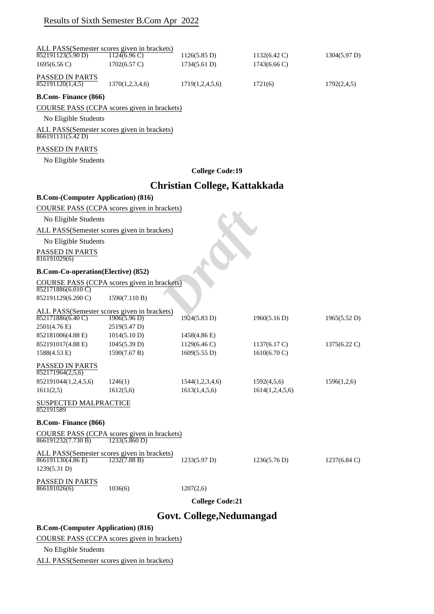|                                           | ALL PASS(Semester scores given in brackets)                  |                                      |                        |                        |
|-------------------------------------------|--------------------------------------------------------------|--------------------------------------|------------------------|------------------------|
| $\overline{852191123(5.90)}$ D)           | $1124(6.96 \text{ C})$                                       | 1126(5.85 D)                         | $1132(6.42 \text{ C})$ | 1304(5.97 D)           |
| 1695(6.56 C)                              | $1702(6.57 \text{ C})$                                       | 1734(5.61 D)                         | $1743(6.66 \text{ C})$ |                        |
| PASSED IN PARTS<br>852191120(1,4,5)       | 1370(1,2,3,4,6)                                              | 1719(1,2,4,5,6)                      | 1721(6)                | 1792(2,4,5)            |
| <b>B.Com-Finance (866)</b>                |                                                              |                                      |                        |                        |
|                                           | COURSE PASS (CCPA scores given in brackets)                  |                                      |                        |                        |
| No Eligible Students                      |                                                              |                                      |                        |                        |
| 866191131(5.42 D)                         | ALL PASS(Semester scores given in brackets)                  |                                      |                        |                        |
| PASSED IN PARTS                           |                                                              |                                      |                        |                        |
| No Eligible Students                      |                                                              |                                      |                        |                        |
|                                           |                                                              | <b>College Code:19</b>               |                        |                        |
|                                           |                                                              | <b>Christian College, Kattakkada</b> |                        |                        |
| <b>B.Com-(Computer Application) (816)</b> |                                                              |                                      |                        |                        |
|                                           | COURSE PASS (CCPA scores given in brackets)                  |                                      |                        |                        |
| No Eligible Students                      |                                                              |                                      |                        |                        |
|                                           | ALL PASS(Semester scores given in brackets)                  |                                      |                        |                        |
| No Eligible Students                      |                                                              |                                      |                        |                        |
| PASSED IN PARTS                           |                                                              |                                      |                        |                        |
| 816191029(6)                              |                                                              |                                      |                        |                        |
| <b>B.Com-Co-operation(Elective) (852)</b> |                                                              |                                      |                        |                        |
|                                           | COURSE PASS (CCPA scores given in brackets)                  |                                      |                        |                        |
| 852171886(6.010 C)                        |                                                              |                                      |                        |                        |
| 852191129(6.200 C)                        | 1590(7.110 B)                                                |                                      |                        |                        |
| 852171886(6.40 C)                         | ALL PASS(Semester scores given in brackets)<br>1906(5.96 D)  | 1924(5.83 D)                         | 1960(5.16 D)           | 1965(5.52 D)           |
| 2501(4.76 E)                              | 2519(5.47 D)                                                 |                                      |                        |                        |
| 852181006(4.88 E)                         | 1014(5.10 D)                                                 | 1458(4.86 E)                         |                        |                        |
| 852191017(4.88 E)                         | 1045(5.39 D)                                                 | $1129(6.46 \text{ C})$               | $1137(6.17 \text{ C})$ | $1375(6.22 \text{ C})$ |
| 1588(4.53 E)                              | 1590(7.67 B)                                                 | 1609(5.55 D)                         | $1610(6.70 \text{ C})$ |                        |
| PASSED IN PARTS<br>852171964(2,5,6)       |                                                              |                                      |                        |                        |
| 852191044(1,2,4,5,6)                      | 1246(1)                                                      | 1544(1,2,3,4,6)                      | 1592(4,5,6)            | 1596(1,2,6)            |
| 1611(2,5)                                 | 1612(5,6)                                                    | 1613(1,4,5,6)                        | 1614(1,2,4,5,6)        |                        |
| SUSPECTED MALPRACTICE<br>852191589        |                                                              |                                      |                        |                        |
| <b>B.Com-Finance (866)</b>                |                                                              |                                      |                        |                        |
| 866191232(7.730 B)                        | COURSE PASS (CCPA scores given in brackets)<br>1233(5.860 D) |                                      |                        |                        |
| 866191130(4.86 E)                         | ALL PASS(Semester scores given in brackets)<br>1232(7.88 B)  | 1233(5.97 D)                         | 1236(5.76 D)           | $1237(6.84 \text{ C})$ |
| 1239(5.31 D)                              |                                                              |                                      |                        |                        |
| PASSED IN PARTS<br>866181026(6)           | 1036(6)                                                      | 1207(2,6)                            |                        |                        |
|                                           |                                                              | <b>College Code:21</b>               |                        |                        |
|                                           |                                                              | Govt. College, Nedumangad            |                        |                        |
| <b>B.Com-(Computer Application) (816)</b> |                                                              |                                      |                        |                        |
|                                           | COURSE PASS (CCPA scores given in brackets)                  |                                      |                        |                        |
|                                           |                                                              |                                      |                        |                        |
| No Eligible Students                      |                                                              |                                      |                        |                        |

ALL PASS(Semester scores given in brackets)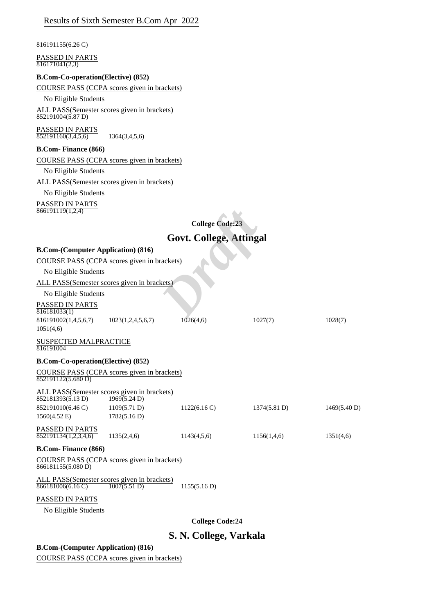|  |  | Results of Sixth Semester B.Com Apr 2022 |  |  |  |
|--|--|------------------------------------------|--|--|--|
|--|--|------------------------------------------|--|--|--|

816191155(6.26 C)

| PASSED IN PARTS<br>816171041(2,3)                                 |                   |                                |              |              |
|-------------------------------------------------------------------|-------------------|--------------------------------|--------------|--------------|
| <b>B.Com-Co-operation(Elective) (852)</b>                         |                   |                                |              |              |
| COURSE PASS (CCPA scores given in brackets)                       |                   |                                |              |              |
| No Eligible Students                                              |                   |                                |              |              |
| ALL PASS(Semester scores given in brackets)<br>852191004(5.87 D)  |                   |                                |              |              |
| PASSED IN PARTS<br>852191160(3,4,5,6)                             | 1364(3,4,5,6)     |                                |              |              |
| <b>B.Com-Finance (866)</b>                                        |                   |                                |              |              |
| COURSE PASS (CCPA scores given in brackets)                       |                   |                                |              |              |
| No Eligible Students                                              |                   |                                |              |              |
| ALL PASS(Semester scores given in brackets)                       |                   |                                |              |              |
| No Eligible Students                                              |                   |                                |              |              |
| PASSED IN PARTS<br>866191119(1,2,4)                               |                   |                                |              |              |
|                                                                   |                   | <b>College Code:23</b>         |              |              |
|                                                                   |                   | <b>Govt. College, Attingal</b> |              |              |
| <b>B.Com-(Computer Application) (816)</b>                         |                   |                                |              |              |
| COURSE PASS (CCPA scores given in brackets)                       |                   |                                |              |              |
| No Eligible Students                                              |                   |                                |              |              |
| ALL PASS(Semester scores given in brackets)                       |                   |                                |              |              |
| No Eligible Students                                              |                   |                                |              |              |
| PASSED IN PARTS<br>816181033(1)                                   |                   |                                |              |              |
| 816191002(1,4,5,6,7)                                              | 1023(1,2,4,5,6,7) | 1026(4,6)                      | 1027(7)      | 1028(7)      |
| 1051(4,6)                                                         |                   |                                |              |              |
| <b>SUSPECTED MALPRACTICE</b>                                      |                   |                                |              |              |
| 816191004                                                         |                   |                                |              |              |
| <b>B.Com-Co-operation(Elective) (852)</b>                         |                   |                                |              |              |
| COURSE PASS (CCPA scores given in brackets)                       |                   |                                |              |              |
| 852191122(5.680 D)                                                |                   |                                |              |              |
| ALL PASS(Semester scores given in brackets)<br>852181393(5.13 D)  | 1969(5.24 D)      |                                |              |              |
| 852191010(6.46 C)                                                 | 1109(5.71 D)      | 1122(6.16 C)                   | 1374(5.81 D) | 1469(5.40 D) |
| $1560(4.52 \text{ E})$                                            | 1782(5.16 D)      |                                |              |              |
| PASSED IN PARTS<br>852191134(1,2,3,4,6)                           | 1135(2,4,6)       | 1143(4,5,6)                    | 1156(1,4,6)  | 1351(4,6)    |
| <b>B.Com-Finance (866)</b>                                        |                   |                                |              |              |
| COURSE PASS (CCPA scores given in brackets)<br>866181155(5.080 D) |                   |                                |              |              |
| ALL PASS(Semester scores given in brackets)<br>866181006(6.16 C)  | 1007(5.51 D)      | 1155(5.16 D)                   |              |              |
| PASSED IN PARTS                                                   |                   |                                |              |              |
| No Eligible Students                                              |                   |                                |              |              |
|                                                                   |                   | <b>College Code:24</b>         |              |              |

# **S. N. College, Varkala**

## **B.Com-(Computer Application) (816)**

COURSE PASS (CCPA scores given in brackets)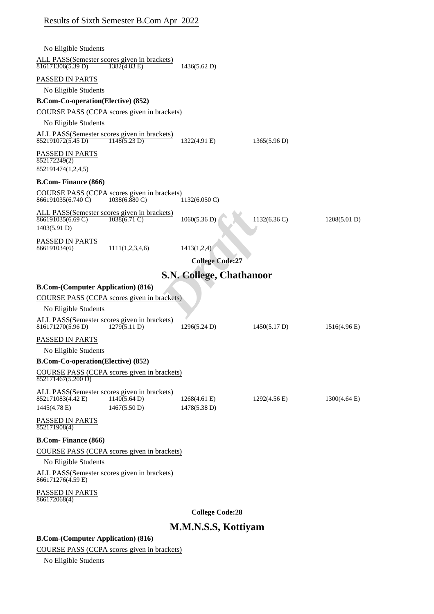| Results of Sixth Semester B.Com Apr 2022 |  |  |
|------------------------------------------|--|--|
|------------------------------------------|--|--|

| No Eligible Students                                                                                          |                                 |                        |                        |
|---------------------------------------------------------------------------------------------------------------|---------------------------------|------------------------|------------------------|
| ALL PASS (Semester scores given in brackets)<br>816171306(5.39 D)<br>$1382(4.83)$ E)                          | 1436(5.62 D)                    |                        |                        |
| PASSED IN PARTS                                                                                               |                                 |                        |                        |
| No Eligible Students                                                                                          |                                 |                        |                        |
| <b>B.Com-Co-operation(Elective) (852)</b>                                                                     |                                 |                        |                        |
| COURSE PASS (CCPA scores given in brackets)                                                                   |                                 |                        |                        |
| No Eligible Students                                                                                          |                                 |                        |                        |
| ALL PASS (Semester scores given in brackets)<br>852191072(5.45 D)<br>1148(5.23 D)                             | 1322(4.91 E)                    | 1365(5.96 D)           |                        |
| PASSED IN PARTS<br>852172249(2)<br>852191474(1,2,4,5)                                                         |                                 |                        |                        |
|                                                                                                               |                                 |                        |                        |
| <b>B.Com-Finance (866)</b>                                                                                    |                                 |                        |                        |
| COURSE PASS (CCPA scores given in brackets)<br>866191035(6.740 C)<br>$1038(6.880 \, \text{C})$                | $1132(6.050 \text{ C})$         |                        |                        |
| ALL PASS(Semester scores given in brackets)<br>$866191035(6.69 \text{ C})$<br>$1038(6.71)$ C)<br>1403(5.91 D) | 1060(5.36 D)                    | 1132(6.36 C)           | 1208(5.01 D)           |
| <b>PASSED IN PARTS</b><br>866191034(6)<br>1111(1,2,3,4,6)                                                     | 1413(1,2,4)                     |                        |                        |
|                                                                                                               | <b>College Code:27</b>          |                        |                        |
|                                                                                                               | <b>S.N. College, Chathanoor</b> |                        |                        |
| <b>B.Com-(Computer Application) (816)</b>                                                                     |                                 |                        |                        |
| COURSE PASS (CCPA scores given in brackets)                                                                   |                                 |                        |                        |
| No Eligible Students                                                                                          |                                 |                        |                        |
| ALL PASS(Semester scores given in brackets)                                                                   |                                 |                        |                        |
| 816171270(5.96 D)<br>1279(5.11 D)                                                                             | 1296(5.24 D)                    | 1450(5.17 D)           | $1516(4.96)$ E)        |
| PASSED IN PARTS                                                                                               |                                 |                        |                        |
| No Eligible Students                                                                                          |                                 |                        |                        |
| <b>B.Com-Co-operation(Elective) (852)</b>                                                                     |                                 |                        |                        |
| COURSE PASS (CCPA scores given in brackets)<br>852171467(5.200 D)                                             |                                 |                        |                        |
| ALL PASS(Semester scores given in brackets)                                                                   |                                 |                        |                        |
| 852171083(4.42 E)<br>1140(5.64 D)<br>1467(5.50 D)<br>1445(4.78 E)                                             | $1268(4.61)$ E)<br>1478(5.38 D) | $1292(4.56 \text{ E})$ | $1300(4.64 \text{ E})$ |
| PASSED IN PARTS<br>852171908(4)                                                                               |                                 |                        |                        |
| <b>B.Com-Finance (866)</b>                                                                                    |                                 |                        |                        |
| COURSE PASS (CCPA scores given in brackets)                                                                   |                                 |                        |                        |
| No Eligible Students                                                                                          |                                 |                        |                        |
| ALL PASS(Semester scores given in brackets)<br>866171276(4.59 E)                                              |                                 |                        |                        |
| PASSED IN PARTS<br>866172068(4)                                                                               |                                 |                        |                        |

**College Code:28**

# **M.M.N.S.S, Kottiyam**

## **B.Com-(Computer Application) (816)**

COURSE PASS (CCPA scores given in brackets)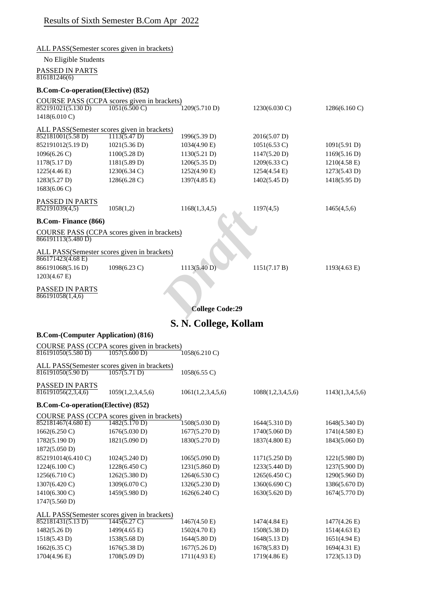|                                           | ALL PASS(Semester scores given in brackets) |                        |                         |                         |
|-------------------------------------------|---------------------------------------------|------------------------|-------------------------|-------------------------|
| No Eligible Students                      |                                             |                        |                         |                         |
| PASSED IN PARTS                           |                                             |                        |                         |                         |
| 816181246(6)                              |                                             |                        |                         |                         |
| <b>B.Com-Co-operation(Elective) (852)</b> |                                             |                        |                         |                         |
|                                           | COURSE PASS (CCPA scores given in brackets) |                        |                         |                         |
| 852191021(5.130 D)                        | $1051(6.500 \text{ C})$                     | 1209(5.710 D)          | $1230(6.030 \text{ C})$ | $1286(6.160 \text{ C})$ |
| 1418(6.010 C)                             |                                             |                        |                         |                         |
|                                           | ALL PASS(Semester scores given in brackets) |                        |                         |                         |
| 852181001(5.58 D)                         | 1113(5.47 D)                                | 1996(5.39 D)           | 2016(5.07 D)            |                         |
| 852191012(5.19 D)                         | 1021(5.36 D)                                | 1034(4.90 E)           | $1051(6.53 \text{ C})$  | 1091(5.91 D)            |
| $1096(6.26 \text{ C})$                    | 1100(5.28 D)                                | 1130(5.21 D)           | 1147(5.20 D)            | 1169(5.16 D)            |
| 1178(5.17 D)                              | 1181(5.89 D)                                | 1206(5.35 D)           | $1209(6.33 \text{ C})$  | $1210(4.58 \text{ E})$  |
| 1225(4.46 E)                              | $1230(6.34 \text{ C})$                      | 1252(4.90 E)           | 1254(4.54 E)            | 1273(5.43 D)            |
| 1283(5.27 D)                              | 1286(6.28 C)                                | 1397(4.85 E)           | 1402(5.45 D)            | 1418(5.95 D)            |
| 1683(6.06 C)                              |                                             |                        |                         |                         |
| PASSED IN PARTS                           |                                             |                        |                         |                         |
| 852191039(4,5)                            | 1058(1,2)                                   | 1168(1,3,4,5)          | 1197(4,5)               | 1465(4,5,6)             |
| <b>B.Com- Finance (866)</b>               |                                             |                        |                         |                         |
|                                           |                                             |                        |                         |                         |
| 866191113(5.480 D)                        | COURSE PASS (CCPA scores given in brackets) |                        |                         |                         |
|                                           |                                             |                        |                         |                         |
| 866171423(4.68 E)                         | ALL PASS(Semester scores given in brackets) |                        |                         |                         |
| 866191068(5.16 D)                         | 1098(6.23 C)                                | 1113(5.40 D)           | 1151(7.17 B)            | 1193(4.63 E)            |
| 1203(4.67 E)                              |                                             |                        |                         |                         |
|                                           |                                             |                        |                         |                         |
| PASSED IN PARTS<br>866191058(1,4,6)       |                                             |                        |                         |                         |
|                                           |                                             |                        |                         |                         |
|                                           |                                             | <b>College Code:29</b> |                         |                         |
|                                           |                                             | S. N. College, Kollam  |                         |                         |
| <b>B.Com-(Computer Application) (816)</b> |                                             |                        |                         |                         |
|                                           | COURSE PASS (CCPA scores given in brackets) |                        |                         |                         |
| $\overline{816191050(5.580 \text{ D})}$   | 1057(5.600 D)                               | 1058(6.210 C)          |                         |                         |
|                                           | ALL PASS(Semester scores given in brackets) |                        |                         |                         |
| $\sqrt{816191050(5.90 \text{ D})}$        | 1057(5.71 D)                                | 1058(6.55 C)           |                         |                         |
|                                           |                                             |                        |                         |                         |
| PASSED IN PARTS<br>816191056(2,3,4,6)     | 1059(1,2,3,4,5,6)                           | 1061(1,2,3,4,5,6)      | 1088(1,2,3,4,5,6)       | 1143(1,3,4,5,6)         |
|                                           |                                             |                        |                         |                         |
| <b>B.Com-Co-operation(Elective) (852)</b> |                                             |                        |                         |                         |
|                                           | COURSE PASS (CCPA scores given in brackets) |                        |                         |                         |
| 852181467(4.680 E)                        | 1482(5.170 D)                               | 1508(5.030 D)          | 1644(5.310 D)           | 1648(5.340 D)           |
| 1662(6.250 C)                             | 1676(5.030 D)                               | 1677(5.270 D)          | 1740(5.060 D)           | 1741(4.580 E)           |
| 1782(5.190 D)                             | 1821(5.090 D)                               | 1830(5.270 D)          | 1837(4.800 E)           | 1843(5.060 D)           |
| 1872(5.050 D)                             |                                             |                        |                         |                         |
| 852191014(6.410C)                         | 1024(5.240 D)                               | 1065(5.090 D)          | 1171(5.250 D)           | 1221(5.980 D)           |
| 1224(6.100 C)                             | 1228(6.450 C)                               | 1231(5.860 D)          | 1233(5.440 D)           | 1237(5.900 D)           |
| 1256(6.710 C)                             | 1262(5.380 D)                               | 1264(6.530 C)          | 1265(6.450 C)           | 1290(5.960 D)           |
| 1307(6.420 C)                             | 1309(6.070 C)                               | 1326(5.230 D)          | 1360(6.690 C)           | 1386(5.670 D)           |
| 1410(6.300 C)                             | 1459(5.980 D)                               | 1626(6.240 C)          | 1630(5.620 D)           | 1674(5.770 D)           |
| 1747(5.560 D)                             |                                             |                        |                         |                         |
|                                           | ALL PASS(Semester scores given in brackets) |                        |                         |                         |
| 852181431(5.13 D)                         | $1445(6.27 \text{ C})$                      | 1467(4.50 E)           | 1474(4.84 E)            | 1477(4.26 E)            |
| 1482(5.26 D)                              | 1499(4.65 E)                                | 1502(4.70 E)           | 1508(5.38 D)            | 1514(4.63 E)            |
| 1518(5.43 D)                              | 1538(5.68 D)                                | 1644(5.80 D)           | 1648(5.13 D)            | 1651(4.94 E)            |
| 1662(6.35 C)                              | 1676(5.38 D)                                | 1677(5.26 D)           | 1678(5.83 D)            | 1694(4.31 E)            |
| 1704(4.96 E)                              | 1708(5.09 D)                                | 1711(4.93 E)           | 1719(4.86 E)            | 1723(5.13 D)            |
|                                           |                                             |                        |                         |                         |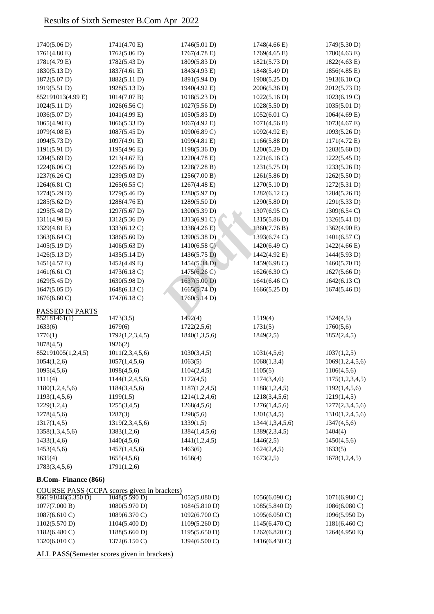| 1740(5.06 D)                    | 1741(4.70 E)                                | 1746(5.01 D)             | 1748(4.66 E)                   | 1749(5.30 D)                   |
|---------------------------------|---------------------------------------------|--------------------------|--------------------------------|--------------------------------|
| 1761(4.80 E)                    | 1762(5.06 D)                                | 1767(4.78 E)             | 1769(4.65 E)                   | 1780(4.63 E)                   |
| 1781(4.79 E)                    | 1782(5.43 D)                                | 1809(5.83 D)             | 1821(5.73 D)                   | 1822(4.63 E)                   |
| 1830(5.13 D)                    | 1837(4.61 E)                                | 1843(4.93 E)             | 1848(5.49 D)                   | 1856(4.85 E)                   |
| 1872(5.07 D)                    | 1882(5.11 D)                                | 1891(5.94 D)             | 1908(5.25 D)                   | 1913(6.10 C)                   |
| 1919(5.51 D)                    | 1928(5.13 D)                                | 1940(4.92 E)             | 2006(5.36 D)                   | 2012(5.73 D)                   |
| 852191013(4.99 E)               | 1014(7.07 B)                                | 1018(5.23 D)             | 1022(5.16 D)                   | 1023(6.19 C)                   |
| 1024(5.11 D)                    | 1026(6.56 C)                                | 1027(5.56 D)             | 1028(5.50 D)                   | 1035(5.01 D)                   |
| 1036(5.07 D)                    | 1041(4.99 E)                                | 1050(5.83 D)             | 1052(6.01 C)                   | $1064(4.69 \text{ E})$         |
| 1065(4.90 E)                    | 1066(5.33 D)                                | 1067(4.92 E)             | 1071(4.56 E)                   | 1073(4.67 E)                   |
| 1079(4.08 E)                    | 1087(5.45 D)                                | 1090(6.89 C)             | 1092(4.92 E)                   | 1093(5.26 D)                   |
| 1094(5.73 D)                    | 1097(4.91 E)                                | 1099(4.81 E)             | 1166(5.88 D)                   | 1171(4.72 E)                   |
| 1191(5.91 D)                    | 1195(4.96 E)                                | 1198(5.36 D)             | 1200(5.29 D)                   | 1203(5.60 D)                   |
| 1204(5.69 D)                    | 1213(4.67 E)                                | 1220(4.78 E)             | 1221(6.16 C)                   | 1222(5.45 D)                   |
| 1224(6.06 C)                    | 1226(5.66 D)                                | 1228(7.28 B)             | 1231(5.75 D)                   | 1233(5.26 D)                   |
| 1237(6.26 C)                    | 1239(5.03 D)                                | 1256(7.00 B)             | 1261(5.86 D)                   | 1262(5.50 D)                   |
| 1264(6.81 C)                    | 1265(6.55 C)                                | 1267(4.48 E)             | 1270(5.10 D)                   | 1272(5.31 D)                   |
| 1274(5.29 D)                    | 1279(5.46 D)                                | 1280(5.97 D)             | 1282(6.12 C)                   | 1284(5.26 D)                   |
| 1285(5.62 D)                    | 1288(4.76 E)                                | 1289(5.50 D)             | 1290(5.80 D)                   | 1291(5.33 D)                   |
| 1295(5.48 D)                    | 1297(5.67 D)                                | 1300(5.39 D)             | 1307(6.95 C)                   | 1309(6.54 C)                   |
| 1311(4.90 E)                    | 1312(5.36 D)                                | 1313(6.91 C)             | 1315(5.86 D)                   | 1326(5.41 D)                   |
| 1329(4.81 E)                    | 1333(6.12C)                                 | 1338(4.26 E)             | 1360(7.76 B)                   | 1362(4.90 E)                   |
| 1363(6.64 C)                    | 1386(5.60 D)                                | 1390(5.38 D)             | 1393(6.74 C)                   | 1401(6.57 C)                   |
| 1405(5.19 D)                    | 1406(5.63 D)                                | 1410(6.58 C)             | 1420(6.49 C)                   | 1422(4.66 E)                   |
| 1426(5.13 D)                    | 1435(5.14 D)                                | 1436(5.75 D)             | 1442(4.92 E)                   | 1444(5.93 D)                   |
| 1451(4.57 E)                    | 1452(4.49 E)                                | 1454(5.34 D)             | 1459(6.98 C)                   | 1460(5.70 D)                   |
| 1461(6.61 C)                    | 1473(6.18 C)                                | 1475(6.26 C)             | 1626(6.30 C)                   | 1627(5.66 D)                   |
| 1629(5.45 D)                    | 1630(5.98 D)                                | 1637(5.00 D)             | 1641(6.46 C)                   | 1642(6.13 C)                   |
| 1647(5.05 D)                    | 1648(6.13 C)                                | 1665(5.74 D)             | 1666(5.25 D)                   | 1674(5.46 D)                   |
| 1676(6.60 C)                    | 1747(6.18 C)                                | 1760(5.14 D)             |                                |                                |
|                                 |                                             |                          |                                |                                |
| PASSED IN PARTS<br>852181461(1) | 1473(3,5)                                   |                          | 1519(4)                        |                                |
| 1633(6)                         | 1679(6)                                     | 1492(4)<br>1722(2,5,6)   | 1731(5)                        | 1524(4,5)<br>1760(5,6)         |
| 1776(1)                         | 1792(1,2,3,4,5)                             | 1840(1,3,5,6)            | 1849(2,5)                      | 1852(2,4,5)                    |
| 1878(4,5)                       | 1926(2)                                     |                          |                                |                                |
| 852191005(1,2,4,5)              |                                             | 1030(3, 4, 5)            |                                |                                |
|                                 | 1011(2,3,4,5,6)                             | 1063(5)                  | 1031(4,5,6)<br>1068(1,3,4)     | 1037(1,2,5)<br>1069(1,2,4,5,6) |
| 1054(1,2,6)<br>1095(4,5,6)      | 1057(1,4,5,6)<br>1098(4,5,6)                | 1104(2, 4, 5)            | 1105(5)                        | 1106(4,5,6)                    |
| 1111(4)                         |                                             |                          |                                |                                |
|                                 | 1144(1,2,4,5,6)                             | 1172(4,5)                | 1174(3,4,6)                    | 1175(1,2,3,4,5)                |
| 1180(1,2,4,5,6)                 | 1184(3,4,5,6)                               | 1187(1,2,4,5)            | 1188(1,2,4,5)                  | 1192(1,4,5,6)                  |
| 1193(1,4,5,6)                   | 1199(1,5)<br>1255(3,4,5)                    | 1214(1,2,4,6)            | 1218(3,4,5,6)                  | 1219(1,4,5)<br>1277(2,3,4,5,6) |
| 1229(1,2,4)<br>1278(4,5,6)      | 1287(3)                                     | 1268(4,5,6)<br>1298(5,6) | 1276(1,4,5,6)                  |                                |
| 1317(1,4,5)                     |                                             |                          | 1301(3,4,5)<br>1344(1,3,4,5,6) | 1310(1,2,4,5,6)                |
|                                 | 1319(2,3,4,5,6)                             | 1339(1,5)                |                                | 1347(4,5,6)                    |
| 1358(1,3,4,5,6)                 | 1383(1,2,6)                                 | 1384(1,4,5,6)            | 1389(2,3,4,5)                  | 1404(4)                        |
| 1433(1,4,6)                     | 1440(4,5,6)                                 | 1441(1,2,4,5)            | 1446(2,5)                      | 1450(4,5,6)                    |
| 1453(4,5,6)                     | 1457(1,4,5,6)                               | 1463(6)                  | 1624(2,4,5)                    | 1633(5)                        |
| 1635(4)                         | 1655(4,5,6)                                 | 1656(4)                  | 1673(2,5)                      | 1678(1,2,4,5)                  |
| 1783(3,4,5,6)                   | 1791(1,2,6)                                 |                          |                                |                                |
| <b>B.Com-Finance (866)</b>      |                                             |                          |                                |                                |
|                                 | COURSE PASS (CCPA scores given in brackets) |                          |                                |                                |
| 866191046(5.350 D)              | 1048(5.590 D)                               | 1052(5.080 D)            | $1056(6.090 \text{ C})$        | $1071(6.980 \text{ C})$        |
| 1077(7.000 B)                   | 1080(5.970 D)                               | 1084(5.810 D)            | 1085(5.840 D)                  | 1086(6.080 C)                  |
| 1087(6.610 C)                   | 1089(6.370 C)                               | $1092(6.700 \text{ C})$  | 1095(6.050 C)                  | 1096(5.950 D)                  |
| 1102(5.570 D)                   | 1104(5.400 D)                               | 1109(5.260 D)            | 1145(6.470 C)                  | 1181(6.460 C)                  |
| 1182(6.480 C)                   | 1188(5.660 D)                               | 1195(5.650 D)            | 1262(6.820 C)                  | 1264(4.950 E)                  |
| 1320(6.010 C)                   | 1372(6.150 C)                               | 1394(6.500 C)            | 1416(6.430 C)                  |                                |

ALL PASS(Semester scores given in brackets)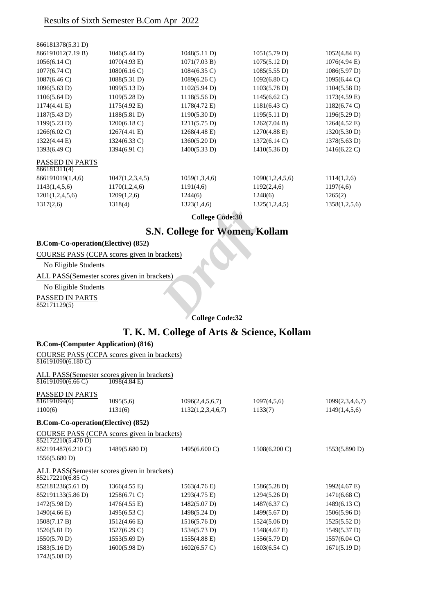|                                        |                 | <b>College Code:30</b> |                        |                        |
|----------------------------------------|-----------------|------------------------|------------------------|------------------------|
| 1317(2,6)                              | 1318(4)         | 1323(1,4,6)            | 1325(1,2,4,5)          | 1358(1,2,5,6)          |
| 1201(1,2,4,5,6)                        | 1209(1,2,6)     | 1244(6)                | 1248(6)                | 1265(2)                |
| 1143(1,4,5,6)                          | 1170(1,2,4,6)   | 1191(4,6)              | 1192(2,4,6)            | 1197(4,6)              |
| 866191019(1,4,6)                       | 1047(1,2,3,4,5) | 1059(1,3,4,6)          | 1090(1,2,4,5,6)        | 1114(1,2,6)            |
| <b>PASSED IN PARTS</b><br>866181311(4) |                 |                        |                        |                        |
| 1393(6.49 C)                           | 1394(6.91 C)    | 1400(5.33 D)           | 1410(5.36 D)           | $1416(6.22 \text{ C})$ |
| 1322(4.44 E)                           | 1324(6.33 C)    | 1360(5.20 D)           | 1372(6.14 C)           | 1378(5.63 D)           |
| $1266(6.02 \text{ C})$                 | $1267(4.41)$ E) | $1268(4.48 \text{ E})$ | $1270(4.88 \text{ E})$ | 1320(5.30 D)           |
| 1199(5.23 D)                           | 1200(6.18 C)    | 1211(5.75 D)           | 1262(7.04 B)           | $1264(4.52 \text{ E})$ |
| 1187(5.43 D)                           | 1188(5.81 D)    | 1190(5.30 D)           | 1195(5.11 D)           | 1196(5.29 D)           |
| $1174(4.41 \text{ E})$                 | 1175(4.92 E)    | 1178(4.72 E)           | $1181(6.43 \text{ C})$ | $1182(6.74 \text{ C})$ |
| 1106(5.64 D)                           | 1109(5.28 D)    | 1118(5.56 D)           | $1145(6.62 \text{ C})$ | $1173(4.59 \text{ E})$ |
| 1096(5.63 D)                           | 1099(5.13 D)    | 1102(5.94 D)           | 1103(5.78 D)           | $1104(5.58 \text{ D})$ |
| 1087(6.46 C)                           | 1088(5.31 D)    | $1089(6.26 \text{ C})$ | $1092(6.80 \text{ C})$ | 1095(6.44 C)           |
| $1077(6.74 \text{ C})$                 | 1080(6.16 C)    | $1084(6.35 \text{ C})$ | 1085(5.55 D)           | 1086(5.97 D)           |
| 1056(6.14 C)                           | 1070(4.93 E)    | 1071(7.03 B)           | 1075(5.12 D)           | $1076(4.94)$ E)        |
| 866191012(7.19 B)                      | 1046(5.44 D)    | 1048(5.11 D)           | 1051(5.79 D)           | 1052(4.84)             |
| 866181378(5.31 D)                      |                 |                        |                        |                        |

# **S.N. College for Women, Kollam** College Code:30<br> **N. College for Women, K**<br>
<u>Rects</u><br>
<u>Rets</u><br> **Draft**<br> **Draft**<br> **Draft**<br> **Draft**<br> **Draft**<br> **Draft**<br> **Draft**<br> **Draft**<br> **Draft**<br> **Draft**<br> **Draft**<br> **Draft**<br> **Draft**<br> **Draft**<br> **Draft**<br> **Draft**

#### **B.Com-Co-operation(Elective) (852)**

COURSE PASS (CCPA scores given in brackets)

No Eligible Students

ALL PASS(Semester scores given in brackets)

No Eligible Students

PASSED IN PARTS 852171129(5)

1742(5.08 D)

#### **College Code:32**

# **T. K. M. College of Arts & Science, Kollam**

#### **B.Com-(Computer Application) (816)**

COURSE PASS (CCPA scores given in brackets)  $816191090(6.180 \text{ C})$ 

ALL PASS(Semester scores given in brackets) 816191090(6.66 C) 1098(4.84 E)

| PASSED IN PARTS |           |                   |             |                 |
|-----------------|-----------|-------------------|-------------|-----------------|
| 816191094(6)    | 1095(5,6) | 1096(2,4,5,6,7)   | 1097(4,5,6) | 1099(2,3,4,6,7) |
| 1100(6)         | 1131(6)   | 1132(1,2,3,4,6,7) | 1133(7)     | 1149(1,4,5,6)   |
|                 |           |                   |             |                 |

**B.Com-Co-operation(Elective) (852)**

COURSE PASS (CCPA scores given in brackets)

| 852172210(5.470 D) |                                             |                         |                         |                        |
|--------------------|---------------------------------------------|-------------------------|-------------------------|------------------------|
| 852191487(6.210 C) | 1489(5.680 D)                               | $1495(6.600 \text{ C})$ | $1508(6.200 \text{ C})$ | 1553(5.890 D)          |
| 1556(5.680 D)      |                                             |                         |                         |                        |
| 852172210(6.85 C)  | ALL PASS(Semester scores given in brackets) |                         |                         |                        |
| 852181236(5.61 D)  | $1366(4.55 \text{ E})$                      | 1563(4.76 E)            | 1586(5.28 D)            | 1992(4.67 E)           |
| 852191133(5.86 D)  | $1258(6.71)$ C)                             | 1293(4.75 E)            | 1294(5.26 D)            | $1471(6.68 \text{ C})$ |
| 1472(5.98 D)       | $1476(4.55 \text{ E})$                      | $1482(5.07 \text{ D})$  | $1487(6.37 \text{ C})$  | 1489(6.13 C)           |

1490(4.66 E) 1495(6.53 C) 1498(5.24 D) 1499(5.67 D) 1506(5.96 D) 1508(7.17 B) 1512(4.66 E) 1516(5.76 D) 1524(5.06 D) 1525(5.52 D) 1526(5.81 D) 1527(6.29 C) 1534(5.73 D) 1548(4.67 E) 1549(5.37 D) 1550(5.70 D) 1553(5.69 D) 1555(4.88 E) 1556(5.79 D) 1557(6.04 C) 1583(5.16 D) 1600(5.98 D) 1602(6.57 C) 1603(6.54 C) 1671(5.19 D)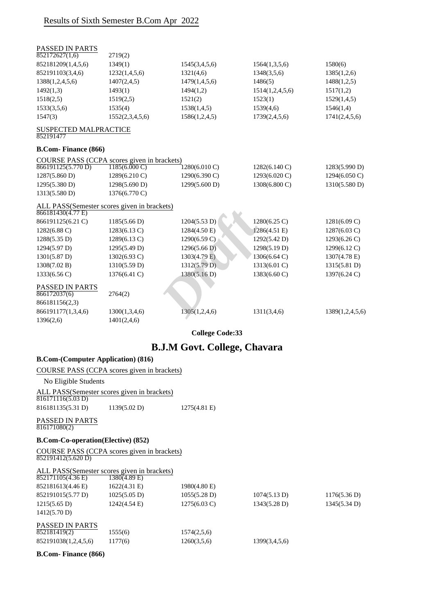| PASSED IN PARTS                           |                                             |                         |                        |                         |
|-------------------------------------------|---------------------------------------------|-------------------------|------------------------|-------------------------|
| 852172627(1,6)                            | 2719(2)                                     |                         |                        |                         |
| 852181209(1,4,5,6)                        | 1349(1)                                     | 1545(3,4,5,6)           | 1564(1,3,5,6)          | 1580(6)                 |
| 852191103(3,4,6)                          | 1232(1,4,5,6)                               | 1321(4,6)               | 1348(3,5,6)            | 1385(1,2,6)             |
| 1388(1,2,4,5,6)                           | 1407(2,4,5)                                 | 1479(1,4,5,6)           | 1486(5)                | 1488(1,2,5)             |
| 1492(1,3)                                 | 1493(1)                                     | 1494(1,2)               | 1514(1,2,4,5,6)        | 1517(1,2)               |
| 1518(2,5)                                 | 1519(2,5)                                   | 1521(2)                 | 1523(1)                | 1529(1,4,5)             |
| 1533(3,5,6)                               | 1535(4)                                     | 1538(1,4,5)             | 1539(4,6)              | 1546(1,4)               |
| 1547(3)                                   | 1552(2,3,4,5,6)                             | 1586(1,2,4,5)           | 1739(2,4,5,6)          | 1741(2,4,5,6)           |
| <b>SUSPECTED MALPRACTICE</b><br>852191477 |                                             |                         |                        |                         |
| <b>B.Com-Finance (866)</b>                |                                             |                         |                        |                         |
|                                           | COURSE PASS (CCPA scores given in brackets) |                         |                        |                         |
| 866191125(5.770 D)                        | $1185(6.000 \text{ C})$                     | $1280(6.010 \text{ C})$ | 1282(6.140 C)          | 1283(5.990 D)           |
| 1287(5.860 D)                             | 1289(6.210 C)                               | 1290(6.390 C)           | 1293(6.020 C)          | $1294(6.050 \text{ C})$ |
| 1295(5.380 D)                             | 1298(5.690 D)                               | 1299(5.600 D)           | 1308(6.800 C)          | 1310(5.580 D)           |
| 1313(5.580 D)                             | 1376(6.770 C)                               |                         |                        |                         |
|                                           | ALL PASS(Semester scores given in brackets) |                         |                        |                         |
| 866181430(4.77 E)                         |                                             |                         |                        |                         |
| 866191125(6.21 C)                         | 1185(5.66 D)                                | 1204(5.53 D)            | $1280(6.25 \text{ C})$ | $1281(6.09 \text{ C})$  |
| 1282(6.88 C)                              | 1283(6.13 C)                                | 1284(4.50 E)            | 1286(4.51 E)           | $1287(6.03 \text{ C})$  |
| 1288(5.35 D)                              | 1289(6.13 C)                                | 1290(6.59 C)            | 1292(5.42 D)           | 1293(6.26 C)            |
| 1294(5.97 D)                              | 1295(5.49 D)                                | 1296(5.66 D)            | 1298(5.19 D)           | 1299(6.12 C)            |
| 1301(5.87 D)                              | $1302(6.93)$ C)                             | 1303(4.79 E)            | 1306(6.64 C)           | 1307(4.78 E)            |
| 1308(7.02 B)                              | 1310(5.59 D)                                | 1312(5.79 D)            | 1313(6.01 C)           | 1315(5.81 D)            |
| 1333(6.56 C)                              | 1376(6.41 C)                                | 1380(5.16 D)            | 1383(6.60 C)           | 1397(6.24 C)            |
| PASSED IN PARTS<br>866172037(6)           | 2764(2)                                     |                         |                        |                         |
| 866181156(2,3)                            |                                             |                         |                        |                         |
| 866191177(1,3,4,6)                        | 1300(1,3,4,6)                               | 1305(1,2,4,6)           | 1311(3,4,6)            | 1389(1,2,4,5,6)         |
| 1396(2,6)                                 | 1401(2,4,6)                                 |                         |                        |                         |
|                                           |                                             |                         |                        |                         |

**College Code:33**

# **B.J.M Govt. College, Chavara**

### **B.Com-(Computer Application) (816)**

COURSE PASS (CCPA scores given in brackets)

No Eligible Students

ALL PASS(Semester scores given in brackets)  $816171116(5.03 D)$ 

816181135(5.31 D) 1139(5.02 D) 1275(4.81 E)

PASSED IN PARTS 816171080(2)

#### **B.Com-Co-operation(Elective) (852)**

COURSE PASS (CCPA scores given in brackets) 852191412(5.620 D)

#### ALL PASS(Semester scores given in brackets)

| <b>PASSED IN PARTS</b><br>852181419(2)<br>852191038(1,2,4,5,6) | 1555(6)<br>1177(6)     | 1574(2,5,6)<br>1260(3,5,6) | 1399(3,4,5,6) |              |
|----------------------------------------------------------------|------------------------|----------------------------|---------------|--------------|
| 1412(5.70 D)                                                   |                        |                            |               |              |
| $1215(5.65 \text{ D})$                                         | $1242(4.54 \text{ E})$ | $1275(6.03 \text{ C})$     | 1343(5.28 D)  | 1345(5.34 D) |
| 852191015(5.77 D)                                              | $1025(5.05 \text{ D})$ | 1055(5.28 D)               | 1074(5.13 D)  | 1176(5.36 D) |
| 852181613(4.46 E)                                              | $1622(4.31)$ E)        | 1980(4.80 E)               |               |              |
| 852171105(4.36 E)                                              | 1380(4.89 E)           |                            |               |              |

**B.Com- Finance (866)**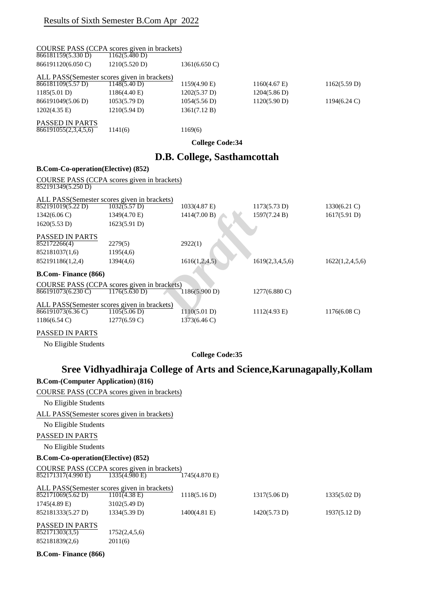| 866181159(5.330 D)                          | COURSE PASS (CCPA scores given in brackets)<br>1162(5.480 D)          |                              |                         |                        |
|---------------------------------------------|-----------------------------------------------------------------------|------------------------------|-------------------------|------------------------|
| 866191120(6.050 C)                          | 1210(5.520 D)                                                         | $1361(6.650 \, \text{C})$    |                         |                        |
|                                             | ALL PASS(Semester scores given in brackets)                           |                              |                         |                        |
| 866181109(5.57 D)                           | 1148(5.40 D)                                                          | 1159(4.90 E)                 | $1160(4.67)$ E)         | 1162(5.59 D)           |
| 1185(5.01 D)                                | 1186(4.40 E)                                                          | 1202(5.37 D)                 | 1204(5.86 D)            |                        |
| 866191049(5.06 D)                           | 1053(5.79 D)                                                          | 1054(5.56 D)                 | 1120(5.90 D)            | $1194(6.24 \text{ C})$ |
| 1202(4.35 E)                                | 1210(5.94 D)                                                          | 1361(7.12 B)                 |                         |                        |
| PASSED IN PARTS<br>866191055(2,3,4,5,6)     | 1141(6)                                                               | 1169(6)                      |                         |                        |
|                                             |                                                                       | <b>College Code:34</b>       |                         |                        |
|                                             |                                                                       | D.B. College, Sasthamcottah  |                         |                        |
| <b>B.Com-Co-operation(Elective) (852)</b>   |                                                                       |                              |                         |                        |
| 852191349(5.250 D)                          | COURSE PASS (CCPA scores given in brackets)                           |                              |                         |                        |
|                                             |                                                                       |                              |                         |                        |
| 852191019(5.22 D)                           | ALL PASS(Semester scores given in brackets)<br>1032(5.57 D)           | 1033(4.87 E)                 | 1173(5.73 D)            | $1330(6.21)$ C)        |
| $1342(6.06 \text{ C})$                      | 1349(4.70 E)                                                          | 1414(7.00 B)                 | 1597(7.24 B)            | 1617(5.91 D)           |
| 1620(5.53 D)                                | 1623(5.91 D)                                                          |                              |                         |                        |
| PASSED IN PARTS<br>852172266(4)             | 2279(5)                                                               | 2922(1)                      |                         |                        |
| 852181037(1,6)                              | 1195(4,6)                                                             |                              |                         |                        |
| 852191186(1,2,4)                            | 1394(4,6)                                                             | 1616(1,2,4,5)                | 1619(2,3,4,5,6)         | 1622(1,2,4,5,6)        |
| <b>B.Com-Finance (866)</b>                  |                                                                       |                              |                         |                        |
|                                             | COURSE PASS (CCPA scores given in brackets)                           |                              |                         |                        |
| $\overline{866191073(6.230 \text{ C})}$     | 1176(5.630 D)                                                         | 1186(5.900 D)                | $1277(6.880 \text{ C})$ |                        |
|                                             | ALL PASS(Semester scores given in brackets)                           |                              |                         |                        |
| 866191073(6.36 C)<br>$1186(6.54 \text{ C})$ | 1105(5.06 D)<br>$1277(6.59 \text{ C})$                                | 1110(5.01 D)<br>1373(6.46 C) | 1112(4.93 E)            | $1176(6.08 \text{ C})$ |
|                                             |                                                                       |                              |                         |                        |
| <b>PASSED IN PARTS</b>                      |                                                                       |                              |                         |                        |
| No Eligible Students                        |                                                                       |                              |                         |                        |
|                                             |                                                                       | <b>College Code:35</b>       |                         |                        |
|                                             | Sree Vidhyadhiraja College of Arts and Science, Karunagapally, Kollam |                              |                         |                        |
| <b>B.Com-(Computer Application) (816)</b>   |                                                                       |                              |                         |                        |
|                                             | COURSE PASS (CCPA scores given in brackets)                           |                              |                         |                        |
| No Eligible Students                        |                                                                       |                              |                         |                        |
|                                             | ALL PASS(Semester scores given in brackets)                           |                              |                         |                        |
| No Eligible Students                        |                                                                       |                              |                         |                        |
| PASSED IN PARTS                             |                                                                       |                              |                         |                        |
| No Eligible Students                        |                                                                       |                              |                         |                        |
| <b>B.Com-Co-operation(Elective) (852)</b>   |                                                                       |                              |                         |                        |
| 852171317(4.990 E)                          | COURSE PASS (CCPA scores given in brackets)<br>1335(4.980 E)          | 1745(4.870 E)                |                         |                        |
|                                             | ALL PASS(Semester scores given in brackets)                           |                              |                         |                        |
| 852171069(5.62 D)                           | $1101(4.38)$ E)                                                       | 1118(5.16 D)                 | 1317(5.06 D)            | 1335(5.02 D)           |
| 1745(4.89 E)                                | 3102(5.49 D)                                                          |                              |                         |                        |
| 852181333(5.27 D)                           | 1334(5.39 D)                                                          | $1400(4.81)$ E)              | 1420(5.73 D)            | 1937(5.12 D)           |
| PASSED IN PARTS<br>852171303(3,5)           |                                                                       |                              |                         |                        |
| 852181839(2,6)                              | 1752(2,4,5,6)<br>2011(6)                                              |                              |                         |                        |
|                                             |                                                                       |                              |                         |                        |

**B.Com- Finance (866)**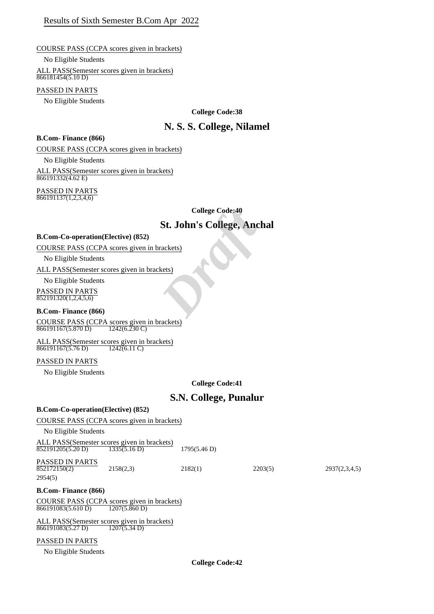#### COURSE PASS (CCPA scores given in brackets)

No Eligible Students

ALL PASS(Semester scores given in brackets) 866181454(5.10 D)

#### PASSED IN PARTS

No Eligible Students

#### **College Code:38**

# **N. S. S. College, Nilamel**

#### **B.Com- Finance (866)**

COURSE PASS (CCPA scores given in brackets)

No Eligible Students

ALL PASS(Semester scores given in brackets)  $866191332(4.62 \text{ E})$ 

PASSED IN PARTS  $\frac{1}{866191137(1,2,3,4,6)}$ 

**College Code:40**

# **St. John's College, Anchal** College Code:40<br> **St. John's College, Anch**<br>
<u>Prackets</u><br>
Rets)<br>
Prackets

#### **B.Com-Co-operation(Elective) (852)**

COURSE PASS (CCPA scores given in brackets)

No Eligible Students

ALL PASS(Semester scores given in brackets)

No Eligible Students

PASSED IN PARTS  $852191320(1,2,4,5,6)$ 

#### **B.Com- Finance (866)**

COURSE PASS (CCPA scores given in brackets)<br> $\frac{866191167(5.870 \text{ D})}{1242(6.230 \text{ C})}$ 866191167(5.870 D)

ALL PASS(Semester scores given in brackets) 866191167(5.76 D) 1242(6.11 C)

#### PASSED IN PARTS

No Eligible Students

**College Code:41**

# **S.N. College, Punalur**

| <b>B.Com-Co-operation(Elective) (852)</b>                         |                         |              |         |               |
|-------------------------------------------------------------------|-------------------------|--------------|---------|---------------|
| COURSE PASS (CCPA scores given in brackets)                       |                         |              |         |               |
| No Eligible Students                                              |                         |              |         |               |
| ALL PASS (Semester scores given in brackets)<br>852191205(5.20 D) | 1335(5.16 D)            | 1795(5.46 D) |         |               |
| <b>PASSED IN PARTS</b><br>852172150(2)<br>2954(5)                 | 2158(2,3)               | 2182(1)      | 2203(5) | 2937(2,3,4,5) |
| <b>B.Com-Finance (866)</b>                                        |                         |              |         |               |
| COURSE PASS (CCPA scores given in brackets)<br>866191083(5.610 D) | $1207(5.860 \text{ D})$ |              |         |               |
| ALL PASS (Semester scores given in brackets)<br>866191083(5.27 D) | 1207(5.34 D)            |              |         |               |
| <b>PASSED IN PARTS</b>                                            |                         |              |         |               |

#### PASSED IN PARTS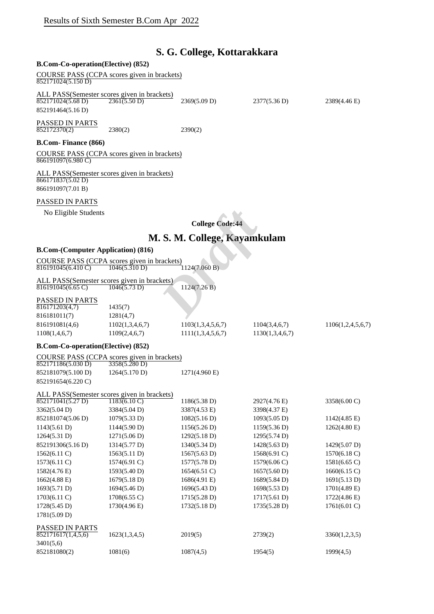# **S. G. College, Kottarakkara**

### **B.Com-Co-operation(Elective) (852)**

COURSE PASS (CCPA scores given in brackets)  $852171024(5.150 D)$ 

ALL PASS(Semester scores given in brackets)  $852171024(5.68 \text{ D})$   $2361(5.50 \text{ D})$   $2369(5.09 \text{ D})$   $2377(5.36 \text{ D})$   $2389(4.46 \text{ E})$ 852191464(5.16 D)

PASSED IN PARTS  $\frac{1188828441111112}{852172370(2)}$  2380(2) 2390(2)

#### **B.Com- Finance (866)**

COURSE PASS (CCPA scores given in brackets)  $\frac{866191097(6.980 \text{ C})}{866191097(6.980 \text{ C})}$ 

ALL PASS(Semester scores given in brackets)  $866171837(5.02 D)$ 866191097(7.01 B)

#### PASSED IN PARTS

## **M. S. M. College, Kayamkulam**

#### **B.Com-(Computer Application) (816)**

|                    | COURSE PASS (CCPA scores given in brackets) |               |
|--------------------|---------------------------------------------|---------------|
| 816191045(6.410 C) | 1046(5.310 D)                               | 1124(7.060 B) |

#### PASSED IN PARTS

| 1106(1,2,4,5,6,7) |
|-------------------|
|                   |
|                   |

#### **B.Com-Co-operation(Elective) (852)**

|                    | COURSE PASS (CCPA scores given in brackets) |
|--------------------|---------------------------------------------|
| 852171186(5.030 D) | 3358(5.280 D)                               |

852181079(5.100 D) 1264(5.170 D) 1271(4.960 E) 852191654(6.220 C)

| ALL PASS(Semester scores given in brackets) |                        |                 |                        |                        |
|---------------------------------------------|------------------------|-----------------|------------------------|------------------------|
| 852171041(5.27 D)                           | $1183(6.10 \text{ C})$ | 1186(5.38 D)    | 2927(4.76 E)           | 3358(6.00 C)           |
| 3362(5.04 D)                                | 3384(5.04 D)           | 3387(4.53 E)    | 3398(4.37 E)           |                        |
| 852181074(5.06 D)                           | 1079(5.33 D)           | 1082(5.16 D)    | $1093(5.05 \text{ D})$ | $1142(4.85 \text{ E})$ |
| 1143(5.61 D)                                | 1144(5.90 D)           | 1156(5.26 D)    | 1159(5.36 D)           | $1262(4.80)$ E)        |
| 1264(5.31 D)                                | 1271(5.06 D)           | 1292(5.18 D)    | 1295(5.74 D)           |                        |
| 852191306(5.16 D)                           | 1314(5.77 D)           | 1340(5.34 D)    | $1428(5.63 \text{ D})$ | 1429(5.07 D)           |
| $1562(6.11)$ C)                             | 1563(5.11 D)           | 1567(5.63 D)    | $1568(6.91)$ C)        | $1570(6.18 \text{ C})$ |
| $1573(6.11)$ C)                             | $1574(6.91)$ C)        | 1577(5.78 D)    | $1579(6.06 \text{ C})$ | $1581(6.65 \text{ C})$ |
| 1582(4.76 E)                                | 1593(5.40 D)           | $1654(6.51)$ C) | 1657(5.60 D)           | 1660(6.15 C)           |
| 1662(4.88)                                  | 1679(5.18 D)           | 1686(4.91 E)    | 1689(5.84 D)           | 1691(5.13 D)           |
| 1693(5.71 D)                                | 1694(5.46 D)           | 1696(5.43 D)    | 1698(5.53 D)           | $1701(4.89)$ E)        |
| $1703(6.11)$ C)                             | $1708(6.55 \text{ C})$ | 1715(5.28 D)    | 1717(5.61 D)           | $1722(4.86 \text{ E})$ |
| 1728(5.45 D)                                | $1730(4.96)$ E)        | 1732(5.18 D)    | 1735(5.28 D)           | $1761(6.01)$ C)        |
| 1781(5.09 D)                                |                        |                 |                        |                        |
| <b>PASSED IN PARTS</b>                      |                        |                 |                        |                        |
| 852171617(1,4,5,6)                          | 1623(1,3,4,5)          | 2019(5)         | 2739(2)                | 3360(1,2,3,5)          |
| 3401(5,6)                                   |                        |                 |                        |                        |
| 852181080(2)                                | 1081(6)                | 1087(4,5)       | 1954(5)                | 1999(4,5)              |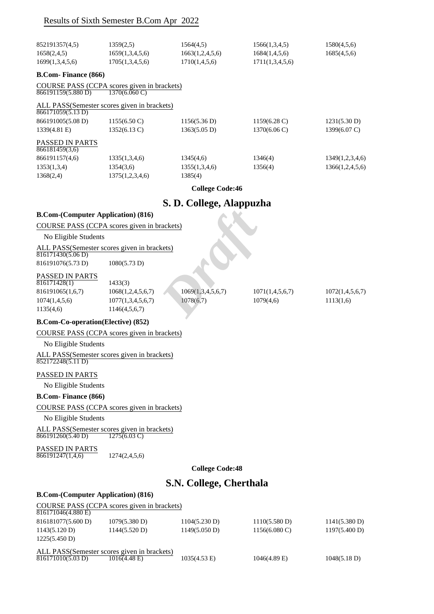|                                                                                                | Results of Sixth Semester B.Com Apr 2022                                         |                                               |                                                   |                              |
|------------------------------------------------------------------------------------------------|----------------------------------------------------------------------------------|-----------------------------------------------|---------------------------------------------------|------------------------------|
| 852191357(4,5)<br>1658(2,4,5)<br>1699(1,3,4,5,6)                                               | 1359(2,5)<br>1659(1,3,4,5,6)<br>1705(1,3,4,5,6)                                  | 1564(4,5)<br>1663(1,2,4,5,6)<br>1710(1,4,5,6) | 1566(1,3,4,5)<br>1684(1,4,5,6)<br>1711(1,3,4,5,6) | 1580(4,5,6)<br>1685(4,5,6)   |
|                                                                                                |                                                                                  |                                               |                                                   |                              |
| <b>B.Com-Finance (866)</b>                                                                     |                                                                                  |                                               |                                                   |                              |
| 866191159(5.880 D)                                                                             | COURSE PASS (CCPA scores given in brackets)<br>$1370(6.060 \text{ C})$           |                                               |                                                   |                              |
| $\sqrt{866171059(5.13 \text{ D})}$                                                             | ALL PASS(Semester scores given in brackets)                                      |                                               |                                                   |                              |
| 866191005(5.08 D)                                                                              | 1155(6.50 C)                                                                     | 1156(5.36 D)                                  | 1159(6.28 C)                                      | 1231(5.30 D)                 |
| 1339(4.81 E)                                                                                   | 1352(6.13 C)                                                                     | 1363(5.05 D)                                  | 1370(6.06 C)                                      | 1399(6.07 C)                 |
| PASSED IN PARTS<br>866181459(3,6)                                                              |                                                                                  |                                               |                                                   |                              |
| 866191157(4,6)                                                                                 | 1335(1,3,4,6)                                                                    | 1345(4,6)                                     | 1346(4)                                           | 1349(1,2,3,4,6)              |
| 1353(1,3,4)                                                                                    | 1354(3,6)                                                                        | 1355(1,3,4,6)                                 | 1356(4)                                           | 1366(1,2,4,5,6)              |
| 1368(2,4)                                                                                      | 1375(1,2,3,4,6)                                                                  | 1385(4)<br><b>College Code:46</b>             |                                                   |                              |
|                                                                                                |                                                                                  |                                               |                                                   |                              |
| <b>B.Com-(Computer Application) (816)</b>                                                      |                                                                                  | S. D. College, Alappuzha                      |                                                   |                              |
| No Eligible Students                                                                           | COURSE PASS (CCPA scores given in brackets)                                      |                                               |                                                   |                              |
|                                                                                                | ALL PASS(Semester scores given in brackets)                                      |                                               |                                                   |                              |
| $\sqrt{816171430(5.06 \text{ D})}$<br>816191076(5.73 D)                                        | 1080(5.73 D)                                                                     |                                               |                                                   |                              |
| PASSED IN PARTS<br>$\overline{816171428(1)}$<br>816191065(1,6,7)<br>1074(1,4,5,6)<br>1135(4,6) | 1433(3)<br>1068(1,2,4,5,6,7)<br>1077(1,3,4,5,6,7)<br>1146(4,5,6,7)               | 1069(1,3,4,5,6,7)<br>1078(6,7)                | 1071(1,4,5,6,7)<br>1079(4,6)                      | 1072(1,4,5,6,7)<br>1113(1,6) |
| <b>B.Com-Co-operation(Elective) (852)</b>                                                      |                                                                                  |                                               |                                                   |                              |
|                                                                                                | COURSE PASS (CCPA scores given in brackets)                                      |                                               |                                                   |                              |
| No Eligible Students                                                                           |                                                                                  |                                               |                                                   |                              |
| 852172248(5.11 D)                                                                              | ALL PASS(Semester scores given in brackets)                                      |                                               |                                                   |                              |
| PASSED IN PARTS                                                                                |                                                                                  |                                               |                                                   |                              |
| No Eligible Students                                                                           |                                                                                  |                                               |                                                   |                              |
| <b>B.Com- Finance (866)</b>                                                                    |                                                                                  |                                               |                                                   |                              |
|                                                                                                | COURSE PASS (CCPA scores given in brackets)                                      |                                               |                                                   |                              |
| No Eligible Students                                                                           |                                                                                  |                                               |                                                   |                              |
| 866191260(5.40 D)                                                                              | ALL PASS(Semester scores given in brackets)<br>$\overline{1275(6.03 \text{ C})}$ |                                               |                                                   |                              |
| PASSED IN PARTS<br>866191247(1,4,6)                                                            | 1274(2,4,5,6)                                                                    |                                               |                                                   |                              |
|                                                                                                |                                                                                  | <b>College Code:48</b>                        |                                                   |                              |
|                                                                                                |                                                                                  | S.N. College, Cherthala                       |                                                   |                              |
| <b>B.Com-(Computer Application) (816)</b>                                                      |                                                                                  |                                               |                                                   |                              |
| 816171046(4.880 E)                                                                             | COURSE PASS (CCPA scores given in brackets)                                      |                                               |                                                   |                              |
| 816181077(5.600 D)                                                                             | 1079(5.380 D)                                                                    | 1104(5.230 D)                                 | 1110(5.580 D)                                     | 1141(5.380 D)                |
| 1143(5.120 D)<br>1225(5.450 D)                                                                 | 1144(5.520 D)                                                                    | 1149(5.050 D)                                 | $1156(6.080 \text{ C})$                           | 1197(5.400 D)                |
| $\overline{816171010(5.03 \text{ D})}$                                                         | ALL PASS(Semester scores given in brackets)<br>$1016(4.48)$ E)                   | $1035(4.53 \text{ E})$                        | $1046(4.89)$ E)                                   | 1048(5.18 D)                 |
|                                                                                                |                                                                                  |                                               |                                                   |                              |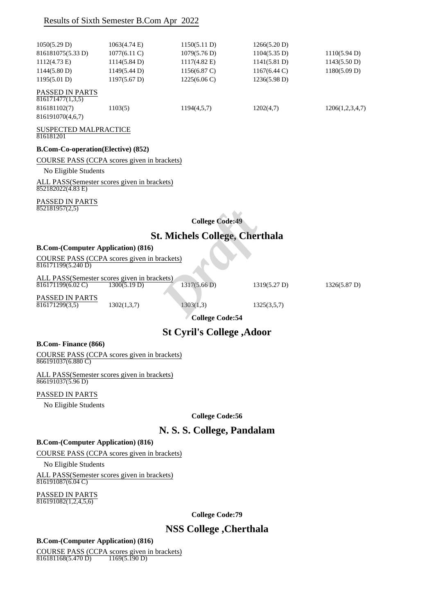| 1050(5.29 D)                               | $1063(4.74)$ E)        | 1150(5.11 D)           | 1266(5.20 D)           |                 |
|--------------------------------------------|------------------------|------------------------|------------------------|-----------------|
| 816181075(5.33 D)                          | $1077(6.11)$ C)        | 1079(5.76 D)           | $1104(5.35 \text{ D})$ | 1110(5.94 D)    |
| $1112(4.73 \text{ E})$                     | $1114(5.84 \text{ D})$ | $1117(4.82 \text{ E})$ | 1141(5.81 D)           | 1143(5.50 D)    |
| 1144(5.80 D)                               | 1149(5.44 D)           | 1156(6.87 C)           | $1167(6.44 \text{ C})$ | 1180(5.09 D)    |
| 1195(5.01 D)                               | $1197(5.67 \text{ D})$ | 1225(6.06 C)           | 1236(5.98 D)           |                 |
| <b>PASSED IN PARTS</b><br>816171477(1,3,5) |                        |                        |                        |                 |
| 816181102(7)                               | 1103(5)                | 1194(4,5,7)            | 1202(4,7)              | 1206(1,2,3,4,7) |
| 816191070(4,6,7)                           |                        |                        |                        |                 |

#### SUSPECTED MALPRACTICE 816181201

#### **B.Com-Co-operation(Elective) (852)**

#### COURSE PASS (CCPA scores given in brackets)

No Eligible Students

ALL PASS(Semester scores given in brackets)  $852182022(4.83 \text{ E})$ 

#### PASSED IN PARTS

 $852181957(2,5)$ 

**College Code:49**

# **St. Michels College, Cherthala**  *Draft*

#### **B.Com-(Computer Application) (816)**

COURSE PASS (CCPA scores given in brackets)  $\overline{816171199(5.240 \,\mathrm{D})}$ 

ALL PASS(Semester scores given in brackets)<br> $\frac{816171199(6.02 \text{ C})}{1300(5.19 \text{ D})}$  $\frac{816171199(6.02 \text{ C})}{1500(5.19 \text{ D})}$  1317(5.66 D) 1319(5.27 D) 1326(5.87 D)

PASSED IN PARTS  $\overline{816171299(3,5)}$  1302(1,3,7) 1303(1,3) 1325(3,5,7)

**College Code:54**

# **St Cyril's College ,Adoor**

#### **B.Com- Finance (866)**

COURSE PASS (CCPA scores given in brackets)  $866191037(6.880 \text{ C})$ 

ALL PASS(Semester scores given in brackets) 866191037(5.96 D)

#### PASSED IN PARTS

No Eligible Students

**College Code:56**

### **N. S. S. College, Pandalam**

#### **B.Com-(Computer Application) (816)**

COURSE PASS (CCPA scores given in brackets)

No Eligible Students

ALL PASS(Semester scores given in brackets) 816191087(6.04 C)

PASSED IN PARTS  $816191082(1,2,4,5,6)$ 

**College Code:79**

# **NSS College ,Cherthala**

#### **B.Com-(Computer Application) (816)**

COURSE PASS (CCPA scores given in brackets)<br> $\frac{816181168(5.470 \text{ D})}{169(5.190 \text{ D})}$ 816181168(5.470 D)